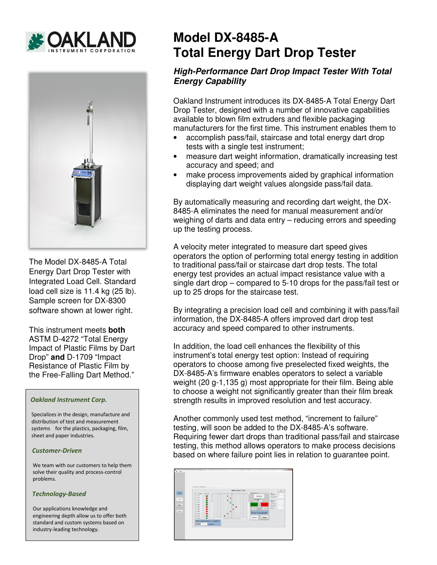



The Model DX-8485-A Total Energy Dart Drop Tester with Integrated Load Cell. Standard load cell size is 11.4 kg (25 lb). Sample screen for DX-8300 software shown at lower right.

This instrument meets **both** ASTM D-4272 "Total Energy Impact of Plastic Films by Dart Drop" **and** D-1709 "Impact Resistance of Plastic Film by the Free-Falling Dart Method."

### *Oakland Instrument Corp.*

 Specializes in the design, manufacture and distribution of test and measurement systems for the plastics, packaging, film, sheet and paper industries.

#### *Customer-Driven*

 We team with our customers to help them solve their quality and process-control problems.

#### *Technology-Based*

 Our applications knowledge and engineering depth allow us to offer both standard and custom systems based on industry-leading technology.

# **Model DX-8485-A Total Energy Dart Drop Tester**

## **High-Performance Dart Drop Impact Tester With Total Energy Capability**

Oakland Instrument introduces its DX-8485-A Total Energy Dart Drop Tester, designed with a number of innovative capabilities available to blown film extruders and flexible packaging manufacturers for the first time. This instrument enables them to

- accomplish pass/fail, staircase and total energy dart drop tests with a single test instrument;
- measure dart weight information, dramatically increasing test accuracy and speed; and
- make process improvements aided by graphical information displaying dart weight values alongside pass/fail data.

By automatically measuring and recording dart weight, the DX-8485-A eliminates the need for manual measurement and/or weighing of darts and data entry – reducing errors and speeding up the testing process.

A velocity meter integrated to measure dart speed gives operators the option of performing total energy testing in addition to traditional pass/fail or staircase dart drop tests. The total energy test provides an actual impact resistance value with a single dart drop – compared to 5-10 drops for the pass/fail test or up to 25 drops for the staircase test.

By integrating a precision load cell and combining it with pass/fail information, the DX-8485-A offers improved dart drop test accuracy and speed compared to other instruments.

In addition, the load cell enhances the flexibility of this instrument's total energy test option: Instead of requiring operators to choose among five preselected fixed weights, the DX-8485-A's firmware enables operators to select a variable weight (20 g-1,135 g) most appropriate for their film. Being able to choose a weight not significantly greater than their film break strength results in improved resolution and test accuracy.

Another commonly used test method, "increment to failure" testing, will soon be added to the DX-8485-A's software. Requiring fewer dart drops than traditional pass/fail and staircase testing, this method allows operators to make process decisions based on where failure point lies in relation to guarantee point.